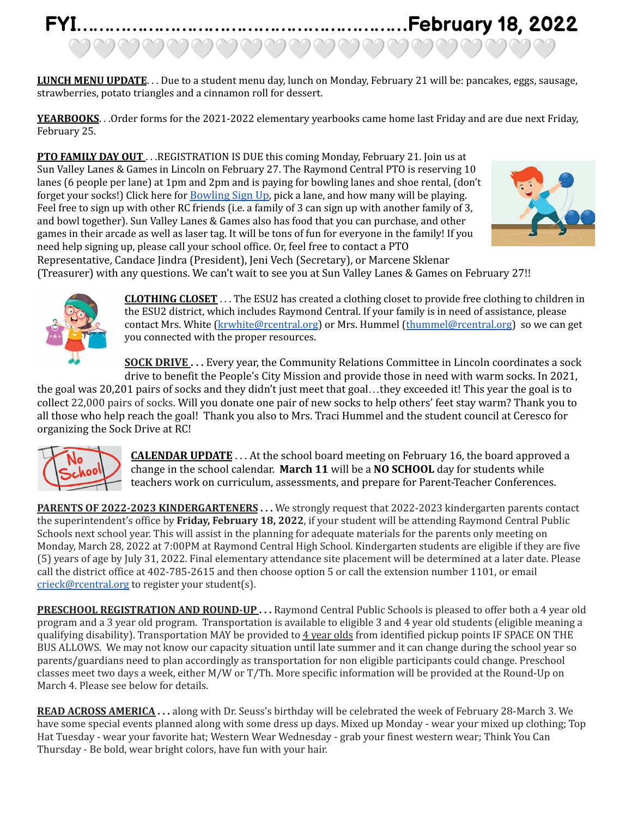## **FYI……………………………………………………February 18, 2022** ಅವವವವವವವವವವವವವವವವ

**LUNCH MENU UPDATE**. . . Due to a student menu day, lunch on Monday, February 21 will be: pancakes, eggs, sausage, strawberries, potato triangles and a cinnamon roll for dessert.

YEARBOOKS. . . Order forms for the 2021-2022 elementary yearbooks came home last Friday and are due next Friday, February 25.

**PTO FAMILY DAY OUT** . . .REGISTRATION IS DUE this coming Monday, February 21. Join us at Sun Valley Lanes & Games in Lincoln on February 27. The Raymond Central PTO is reserving 10 lanes (6 people per lane) at 1pm and 2pm and is paying for bowling lanes and shoe rental, (don't forget your socks!) Click here for [Bowling](https://www.signupgenius.com/go/20f0c4fa8a62ca4ff2-sunvalley) Sign Up, pick a lane, and how many will be playing. Feel free to sign up with other RC friends (i.e. a family of 3 can sign up with another family of 3, and bowl together). Sun Valley Lanes & Games also has food that you can purchase, and other games in their arcade as well as laser tag. It will be tons of fun for everyone in the family! If you need help signing up, please call your school office. Or, feel free to contact a PTO



Representative, Candace Jindra (President), Jeni Vech (Secretary), or Marcene Sklenar (Treasurer) with any questions. We can't wait to see you at Sun Valley Lanes & Games on February 27!!



**CLOTHING CLOSET** . . . The ESU2 has created a clothing closet to provide free clothing to children in the ESU2 district, which includes Raymond Central. If your family is in need of assistance, please contact Mrs. White [\(krwhite@rcentral.org](mailto:krwhite@rcentral.org)) or Mrs. Hummel ([thummel@rcentral.org](mailto:thummel@rcentral.org)) so we can get you connected with the proper resources.

**SOCK DRIVE . . .** Every year, the Community Relations Committee in Lincoln coordinates a sock drive to benefit the People's City Mission and provide those in need with warm socks. In 2021,

the goal was 20,201 pairs of socks and they didn't just meet that goal…they exceeded it! This year the goal is to collect 22,000 pairs of socks. Will you donate one pair of new socks to help others' feet stay warm? Thank you to all those who help reach the goal! Thank you also to Mrs. Traci Hummel and the student council at Ceresco for organizing the Sock Drive at RC!



**CALENDAR UPDATE** . . . At the school board meeting on February 16, the board approved a change in the school calendar. **March 11** will be a **NO SCHOOL** day for students while teachers work on curriculum, assessments, and prepare for Parent-Teacher Conferences.

**PARENTS OF 2022-2023 KINDERGARTENERS ...** We strongly request that 2022-2023 kindergarten parents contact the superintendent's office by **Friday, February 18, 2022**, if your student will be attending Raymond Central Public Schools next school year. This will assist in the planning for adequate materials for the parents only meeting on Monday, March 28, 2022 at 7:00PM at Raymond Central High School. Kindergarten students are eligible if they are five (5) years of age by July 31, 2022. Final elementary attendance site placement will be determined at a later date. Please call the district office at 402-785-2615 and then choose option 5 or call the extension number 1101, or email crieck@rcentral.org to register your student(s).

**PRESCHOOL REGISTRATION AND ROUND-UP . . .** Raymond Central Public Schools is pleased to offer both a 4 year old program and a 3 year old program. Transportation is available to eligible 3 and 4 year old students (eligible meaning a qualifying disability). Transportation MAY be provided to 4 year olds from identified pickup points IF SPACE ON THE BUS ALLOWS. We may not know our capacity situation until late summer and it can change during the school year so parents/guardians need to plan accordingly as transportation for non eligible participants could change. Preschool classes meet two days a week, either M/W or T/Th. More specific information will be provided at the Round-Up on March 4. Please see below for details.

**READ ACROSS AMERICA . . .** along with Dr. Seuss's birthday will be celebrated the week of February 28-March 3. We have some special events planned along with some dress up days. Mixed up Monday - wear your mixed up clothing; Top Hat Tuesday - wear your favorite hat; Western Wear Wednesday - grab your finest western wear; Think You Can Thursday - Be bold, wear bright colors, have fun with your hair.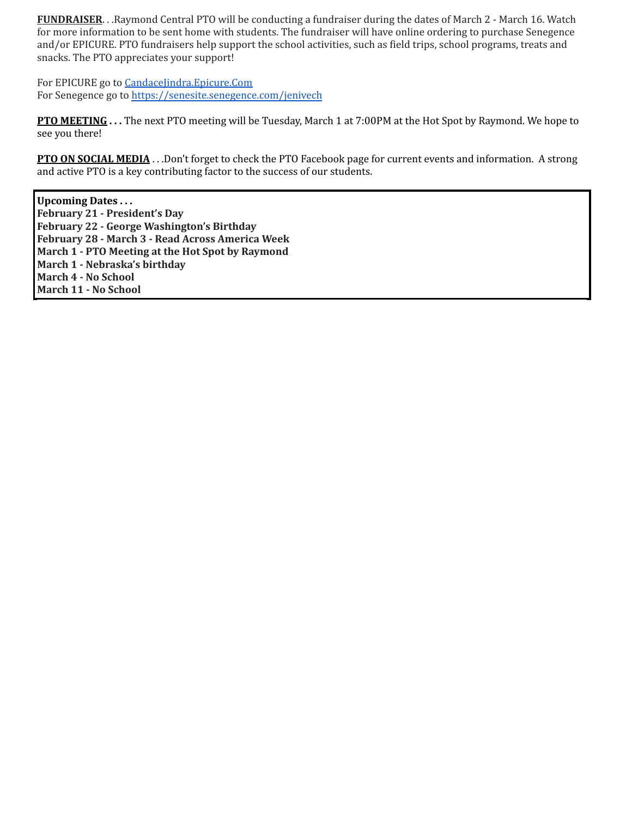**FUNDRAISER**. . .Raymond Central PTO will be conducting a fundraiser during the dates of March 2 - March 16. Watch for more information to be sent home with students. The fundraiser will have online ordering to purchase Senegence and/or EPICURE. PTO fundraisers help support the school activities, such as field trips, school programs, treats and snacks. The PTO appreciates your support!

For EPICURE go to Candacelindra.Epicure.Com For Senegence go to <https://senesite.senegence.com/jenivech>

**PTO MEETING . . .** The next PTO meeting will be Tuesday, March 1 at 7:00PM at the Hot Spot by Raymond. We hope to see you there!

**PTO ON SOCIAL MEDIA** . . .Don't forget to check the PTO Facebook page for current events and information. A strong and active PTO is a key contributing factor to the success of our students.

**Upcoming Dates . . . February 21 - President's Day February 22 - George Washington's Birthday February 28 - March 3 - Read Across America Week March 1 - PTO Meeting at the Hot Spot by Raymond March 1 - Nebraska's birthday March 4 - No School March 11 - No School**